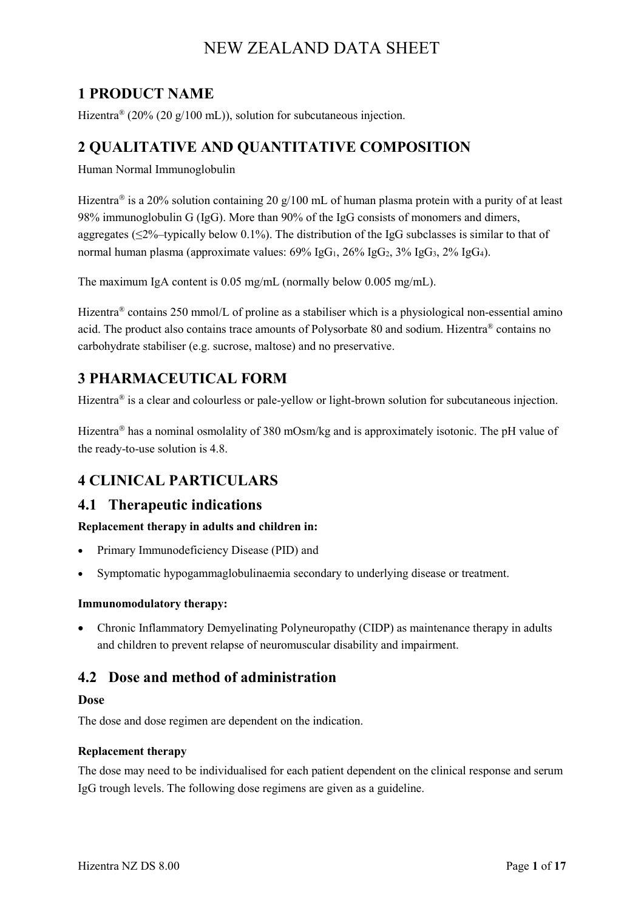## **1 PRODUCT NAME**

Hizentra<sup>®</sup> (20% (20 g/100 mL)), solution for subcutaneous injection.

## **2 QUALITATIVE AND QUANTITATIVE COMPOSITION**

Human Normal Immunoglobulin

Hizentra<sup>®</sup> is a 20% solution containing 20 g/100 mL of human plasma protein with a purity of at least 98% immunoglobulin G (IgG). More than 90% of the IgG consists of monomers and dimers, aggregates ( $\leq 2\%$ -typically below 0.1%). The distribution of the IgG subclasses is similar to that of normal human plasma (approximate values:  $69\%$  IgG<sub>1</sub>,  $26\%$  IgG<sub>2</sub>,  $3\%$  IgG<sub>3</sub>,  $2\%$  IgG<sub>4</sub>).

The maximum IgA content is 0.05 mg/mL (normally below 0.005 mg/mL).

Hizentra® contains 250 mmol/L of proline as a stabiliser which is a physiological non-essential amino acid. The product also contains trace amounts of Polysorbate 80 and sodium. Hizentra® contains no carbohydrate stabiliser (e.g. sucrose, maltose) and no preservative.

## **3 PHARMACEUTICAL FORM**

Hizentra® is a clear and colourless or pale-yellow or light-brown solution for subcutaneous injection.

Hizentra<sup>®</sup> has a nominal osmolality of 380 mOsm/kg and is approximately isotonic. The pH value of the ready-to-use solution is 4.8.

## **4 CLINICAL PARTICULARS**

### **4.1 Therapeutic indications**

**Replacement therapy in adults and children in:**

- Primary Immunodeficiency Disease (PID) and
- Symptomatic hypogammaglobulinaemia secondary to underlying disease or treatment.

#### **Immunomodulatory therapy:**

• Chronic Inflammatory Demyelinating Polyneuropathy (CIDP) as maintenance therapy in adults and children to prevent relapse of neuromuscular disability and impairment.

### **4.2 Dose and method of administration**

#### **Dose**

The dose and dose regimen are dependent on the indication.

#### **Replacement therapy**

The dose may need to be individualised for each patient dependent on the clinical response and serum IgG trough levels. The following dose regimens are given as a guideline.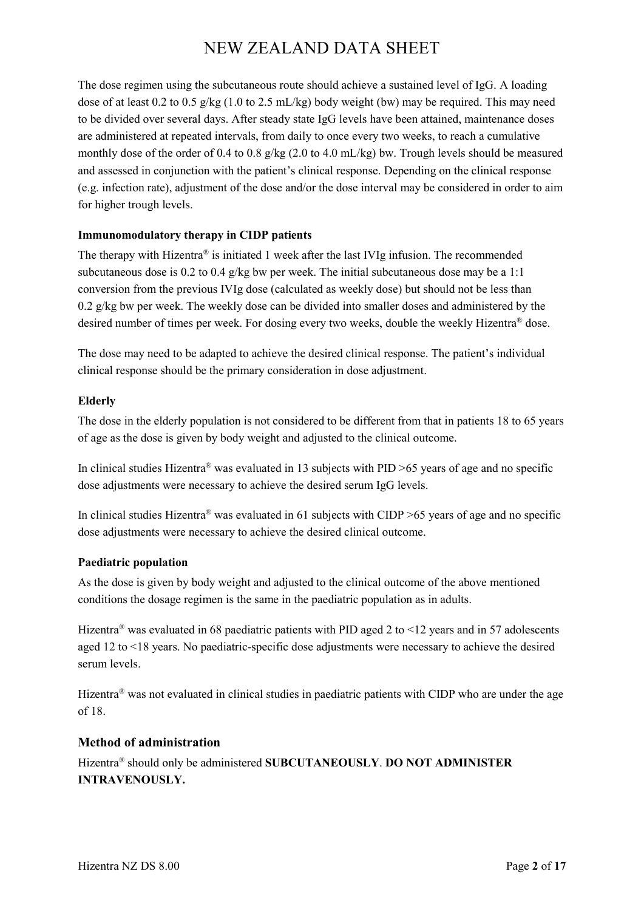The dose regimen using the subcutaneous route should achieve a sustained level of IgG. A loading dose of at least 0.2 to 0.5 g/kg (1.0 to 2.5 mL/kg) body weight (bw) may be required. This may need to be divided over several days. After steady state IgG levels have been attained, maintenance doses are administered at repeated intervals, from daily to once every two weeks, to reach a cumulative monthly dose of the order of 0.4 to 0.8 g/kg (2.0 to 4.0 mL/kg) bw. Trough levels should be measured and assessed in conjunction with the patient's clinical response. Depending on the clinical response (e.g. infection rate), adjustment of the dose and/or the dose interval may be considered in order to aim for higher trough levels.

#### **Immunomodulatory therapy in CIDP patients**

The therapy with Hizentra<sup>®</sup> is initiated 1 week after the last IVIg infusion. The recommended subcutaneous dose is 0.2 to 0.4 g/kg bw per week. The initial subcutaneous dose may be a 1:1 conversion from the previous IVIg dose (calculated as weekly dose) but should not be less than  $0.2$  g/kg bw per week. The weekly dose can be divided into smaller doses and administered by the desired number of times per week. For dosing every two weeks, double the weekly Hizentra® dose.

The dose may need to be adapted to achieve the desired clinical response. The patient's individual clinical response should be the primary consideration in dose adjustment.

#### **Elderly**

The dose in the elderly population is not considered to be different from that in patients 18 to 65 years of age as the dose is given by body weight and adjusted to the clinical outcome.

In clinical studies Hizentra<sup>®</sup> was evaluated in 13 subjects with PID  $>65$  years of age and no specific dose adjustments were necessary to achieve the desired serum IgG levels.

In clinical studies Hizentra<sup>®</sup> was evaluated in 61 subjects with CIDP  $\geq$ 65 years of age and no specific dose adjustments were necessary to achieve the desired clinical outcome.

#### **Paediatric population**

As the dose is given by body weight and adjusted to the clinical outcome of the above mentioned conditions the dosage regimen is the same in the paediatric population as in adults.

Hizentra<sup>®</sup> was evaluated in 68 paediatric patients with PID aged 2 to <12 years and in 57 adolescents aged 12 to <18 years. No paediatric-specific dose adjustments were necessary to achieve the desired serum levels.

Hizentra<sup>®</sup> was not evaluated in clinical studies in paediatric patients with CIDP who are under the age of 18.

#### **Method of administration**

Hizentra® should only be administered **SUBCUTANEOUSLY**. **DO NOT ADMINISTER INTRAVENOUSLY.**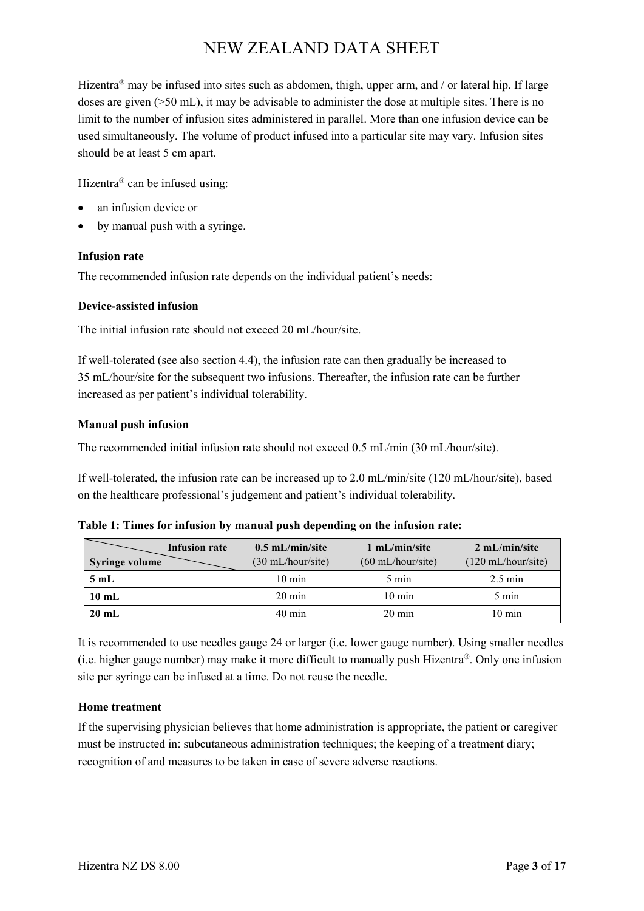Hizentra<sup>®</sup> may be infused into sites such as abdomen, thigh, upper arm, and / or lateral hip. If large doses are given (>50 mL), it may be advisable to administer the dose at multiple sites. There is no limit to the number of infusion sites administered in parallel. More than one infusion device can be used simultaneously. The volume of product infused into a particular site may vary. Infusion sites should be at least 5 cm apart.

Hizentra® can be infused using:

- an infusion device or
- by manual push with a syringe.

#### **Infusion rate**

The recommended infusion rate depends on the individual patient's needs:

#### **Device-assisted infusion**

The initial infusion rate should not exceed 20 mL/hour/site.

If well-tolerated (see also section 4.4), the infusion rate can then gradually be increased to 35 mL/hour/site for the subsequent two infusions. Thereafter, the infusion rate can be further increased as per patient's individual tolerability.

#### **Manual push infusion**

The recommended initial infusion rate should not exceed 0.5 mL/min (30 mL/hour/site).

If well-tolerated, the infusion rate can be increased up to 2.0 mL/min/site (120 mL/hour/site), based on the healthcare professional's judgement and patient's individual tolerability.

| Infusion rate         | $0.5$ mL/min/site           | 1 mL/min/site               | $2 \text{ mL/min/s}$         |
|-----------------------|-----------------------------|-----------------------------|------------------------------|
| <b>Syringe volume</b> | $(30 \text{ mL/hour/site})$ | $(60 \text{ mL/hour/site})$ | $(120 \text{ mL/hour/site})$ |
| 5mL                   | $10 \text{ min}$            | $5 \text{ min}$             | $2.5 \text{ min}$            |
| $10 \text{ mL}$       | $20 \text{ min}$            | $10 \text{ min}$            | 5 min                        |
| $20 \text{ mL}$       | $40 \text{ min}$            | $20 \text{ min}$            | $10 \text{ min}$             |

**Table 1: Times for infusion by manual push depending on the infusion rate:**

It is recommended to use needles gauge 24 or larger (i.e. lower gauge number). Using smaller needles (i.e. higher gauge number) may make it more difficult to manually push Hizentra®. Only one infusion site per syringe can be infused at a time. Do not reuse the needle.

#### **Home treatment**

If the supervising physician believes that home administration is appropriate, the patient or caregiver must be instructed in: subcutaneous administration techniques; the keeping of a treatment diary; recognition of and measures to be taken in case of severe adverse reactions.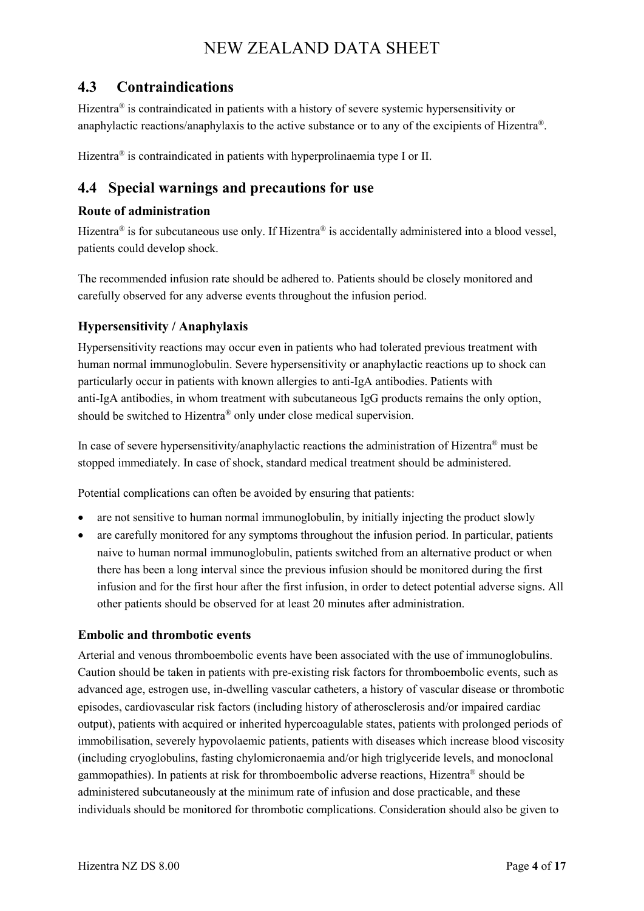## **4.3 Contraindications**

Hizentra<sup>®</sup> is contraindicated in patients with a history of severe systemic hypersensitivity or anaphylactic reactions/anaphylaxis to the active substance or to any of the excipients of Hizentra®.

Hizentra<sup>®</sup> is contraindicated in patients with hyperprolinaemia type I or II.

## **4.4 Special warnings and precautions for use**

#### **Route of administration**

Hizentra<sup>®</sup> is for subcutaneous use only. If Hizentra<sup>®</sup> is accidentally administered into a blood vessel, patients could develop shock.

The recommended infusion rate should be adhered to. Patients should be closely monitored and carefully observed for any adverse events throughout the infusion period.

### **Hypersensitivity / Anaphylaxis**

Hypersensitivity reactions may occur even in patients who had tolerated previous treatment with human normal immunoglobulin. Severe hypersensitivity or anaphylactic reactions up to shock can particularly occur in patients with known allergies to anti-IgA antibodies. Patients with anti-IgA antibodies, in whom treatment with subcutaneous IgG products remains the only option, should be switched to Hizentra® only under close medical supervision.

In case of severe hypersensitivity/anaphylactic reactions the administration of Hizentra® must be stopped immediately. In case of shock, standard medical treatment should be administered.

Potential complications can often be avoided by ensuring that patients:

- are not sensitive to human normal immunoglobulin, by initially injecting the product slowly
- are carefully monitored for any symptoms throughout the infusion period. In particular, patients naive to human normal immunoglobulin, patients switched from an alternative product or when there has been a long interval since the previous infusion should be monitored during the first infusion and for the first hour after the first infusion, in order to detect potential adverse signs. All other patients should be observed for at least 20 minutes after administration.

### **Embolic and thrombotic events**

Arterial and venous thromboembolic events have been associated with the use of immunoglobulins. Caution should be taken in patients with pre-existing risk factors for thromboembolic events, such as advanced age, estrogen use, in-dwelling vascular catheters, a history of vascular disease or thrombotic episodes, cardiovascular risk factors (including history of atherosclerosis and/or impaired cardiac output), patients with acquired or inherited hypercoagulable states, patients with prolonged periods of immobilisation, severely hypovolaemic patients, patients with diseases which increase blood viscosity (including cryoglobulins, fasting chylomicronaemia and/or high triglyceride levels, and monoclonal gammopathies). In patients at risk for thromboembolic adverse reactions, Hizentra® should be administered subcutaneously at the minimum rate of infusion and dose practicable, and these individuals should be monitored for thrombotic complications. Consideration should also be given to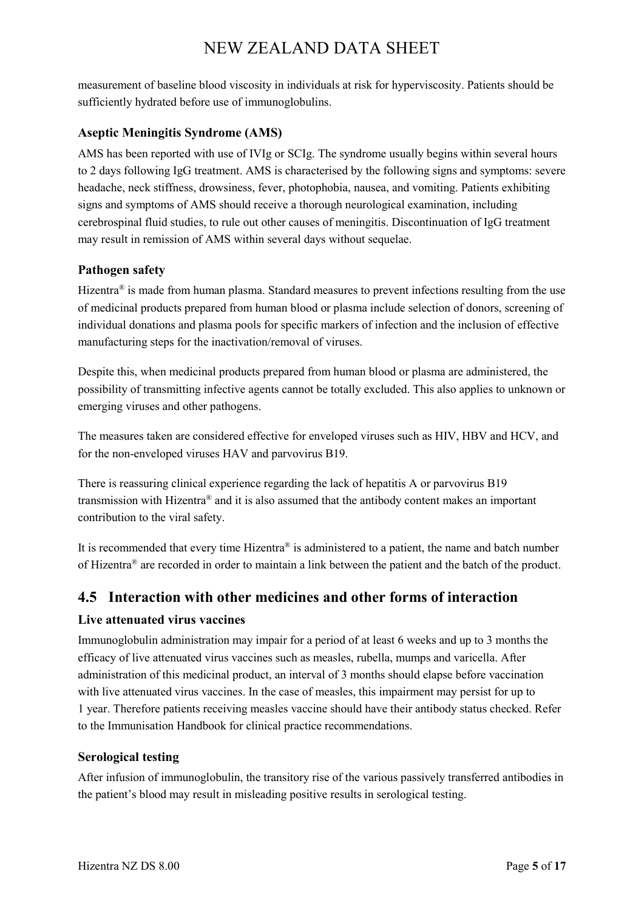measurement of baseline blood viscosity in individuals at risk for hyperviscosity. Patients should be sufficiently hydrated before use of immunoglobulins.

### **Aseptic Meningitis Syndrome (AMS)**

AMS has been reported with use of IVIg or SCIg. The syndrome usually begins within several hours to 2 days following IgG treatment. AMS is characterised by the following signs and symptoms: severe headache, neck stiffness, drowsiness, fever, photophobia, nausea, and vomiting. Patients exhibiting signs and symptoms of AMS should receive a thorough neurological examination, including cerebrospinal fluid studies, to rule out other causes of meningitis. Discontinuation of IgG treatment may result in remission of AMS within several days without sequelae.

### **Pathogen safety**

Hizentra<sup>®</sup> is made from human plasma. Standard measures to prevent infections resulting from the use of medicinal products prepared from human blood or plasma include selection of donors, screening of individual donations and plasma pools for specific markers of infection and the inclusion of effective manufacturing steps for the inactivation/removal of viruses.

Despite this, when medicinal products prepared from human blood or plasma are administered, the possibility of transmitting infective agents cannot be totally excluded. This also applies to unknown or emerging viruses and other pathogens.

The measures taken are considered effective for enveloped viruses such as HIV, HBV and HCV, and for the non-enveloped viruses HAV and parvovirus B19.

There is reassuring clinical experience regarding the lack of hepatitis A or parvovirus B19 transmission with Hizentra® and it is also assumed that the antibody content makes an important contribution to the viral safety.

It is recommended that every time Hizentra® is administered to a patient, the name and batch number of Hizentra® are recorded in order to maintain a link between the patient and the batch of the product.

## **4.5 Interaction with other medicines and other forms of interaction**

### **Live attenuated virus vaccines**

Immunoglobulin administration may impair for a period of at least 6 weeks and up to 3 months the efficacy of live attenuated virus vaccines such as measles, rubella, mumps and varicella. After administration of this medicinal product, an interval of 3 months should elapse before vaccination with live attenuated virus vaccines. In the case of measles, this impairment may persist for up to 1 year. Therefore patients receiving measles vaccine should have their antibody status checked. Refer to the Immunisation Handbook for clinical practice recommendations.

### **Serological testing**

After infusion of immunoglobulin, the transitory rise of the various passively transferred antibodies in the patient's blood may result in misleading positive results in serological testing.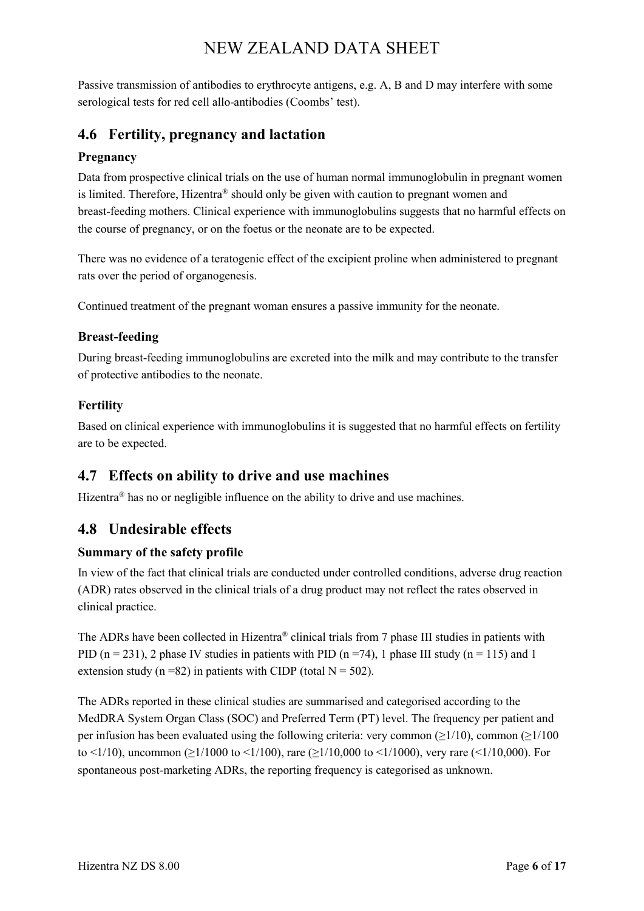Passive transmission of antibodies to erythrocyte antigens, e.g. A, B and D may interfere with some serological tests for red cell allo-antibodies (Coombs' test).

## **4.6 Fertility, pregnancy and lactation**

### **Pregnancy**

Data from prospective clinical trials on the use of human normal immunoglobulin in pregnant women is limited. Therefore, Hizentra® should only be given with caution to pregnant women and breast-feeding mothers. Clinical experience with immunoglobulins suggests that no harmful effects on the course of pregnancy, or on the foetus or the neonate are to be expected.

There was no evidence of a teratogenic effect of the excipient proline when administered to pregnant rats over the period of organogenesis.

Continued treatment of the pregnant woman ensures a passive immunity for the neonate.

### **Breast-feeding**

During breast-feeding immunoglobulins are excreted into the milk and may contribute to the transfer of protective antibodies to the neonate.

### **Fertility**

Based on clinical experience with immunoglobulins it is suggested that no harmful effects on fertility are to be expected.

## **4.7 Effects on ability to drive and use machines**

Hizentra<sup>®</sup> has no or negligible influence on the ability to drive and use machines.

## **4.8 Undesirable effects**

### **Summary of the safety profile**

In view of the fact that clinical trials are conducted under controlled conditions, adverse drug reaction (ADR) rates observed in the clinical trials of a drug product may not reflect the rates observed in clinical practice.

The ADRs have been collected in Hizentra® clinical trials from 7 phase III studies in patients with PID ( $n = 231$ ), 2 phase IV studies in patients with PID ( $n = 74$ ), 1 phase III study ( $n = 115$ ) and 1 extension study ( $n = 82$ ) in patients with CIDP (total  $N = 502$ ).

The ADRs reported in these clinical studies are summarised and categorised according to the MedDRA System Organ Class (SOC) and Preferred Term (PT) level. The frequency per patient and per infusion has been evaluated using the following criteria: very common ( $\geq$ 1/10), common ( $\geq$ 1/100 to <1/10), uncommon ( $\geq$ 1/1000 to <1/100), rare ( $\geq$ 1/10,000 to <1/1000), very rare (<1/10,000). For spontaneous post-marketing ADRs, the reporting frequency is categorised as unknown.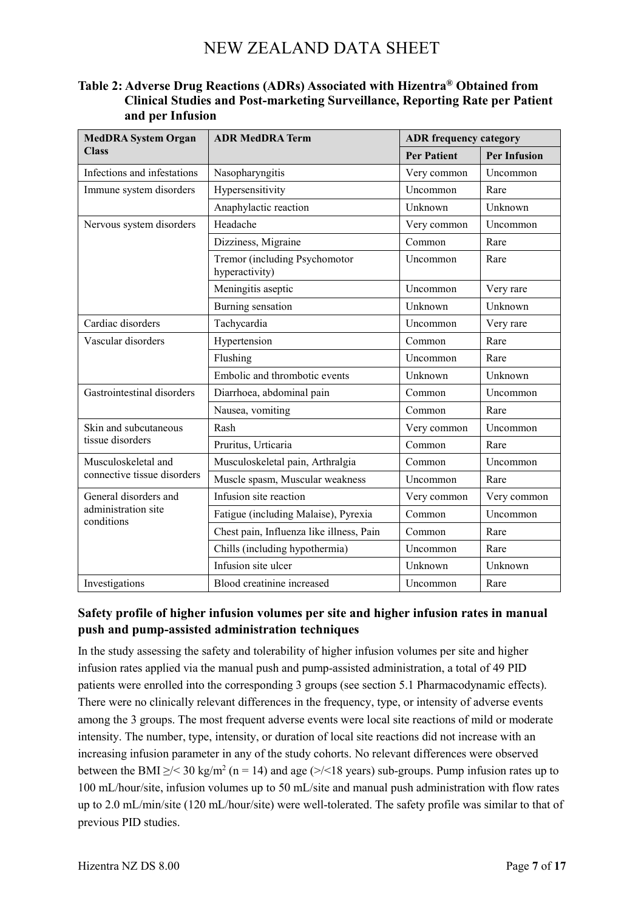### **Table 2: Adverse Drug Reactions (ADRs) Associated with Hizentra® Obtained from Clinical Studies and Post-marketing Surveillance, Reporting Rate per Patient and per Infusion**

| <b>MedDRA System Organ</b>                                 | <b>ADR MedDRA Term</b>                          | <b>ADR</b> frequency category |                     |
|------------------------------------------------------------|-------------------------------------------------|-------------------------------|---------------------|
| <b>Class</b>                                               |                                                 | <b>Per Patient</b>            | <b>Per Infusion</b> |
| Infections and infestations                                | Nasopharyngitis                                 | Very common                   | Uncommon            |
| Immune system disorders                                    | Hypersensitivity                                | Uncommon                      | Rare                |
|                                                            | Anaphylactic reaction                           | Unknown                       | Unknown             |
| Nervous system disorders                                   | Headache                                        | Very common                   | Uncommon            |
|                                                            | Dizziness, Migraine                             | Common                        | Rare                |
|                                                            | Tremor (including Psychomotor<br>hyperactivity) | Uncommon                      | Rare                |
|                                                            | Meningitis aseptic                              | Uncommon                      | Very rare           |
|                                                            | Burning sensation                               | Unknown                       | Unknown             |
| Cardiac disorders                                          | Tachycardia                                     | Uncommon                      | Very rare           |
| Vascular disorders                                         | Hypertension                                    | Common                        | Rare                |
|                                                            | Flushing                                        | Uncommon                      | Rare                |
|                                                            | Embolic and thrombotic events                   | Unknown                       | Unknown             |
| Gastrointestinal disorders                                 | Diarrhoea, abdominal pain                       | Common                        | Uncommon            |
|                                                            | Nausea, vomiting                                | Common                        | Rare                |
| Skin and subcutaneous<br>tissue disorders                  | Rash                                            | Very common                   | Uncommon            |
|                                                            | Pruritus, Urticaria                             | Common                        | Rare                |
| Musculoskeletal and<br>connective tissue disorders         | Musculoskeletal pain, Arthralgia                | Common                        | Uncommon            |
|                                                            | Muscle spasm, Muscular weakness                 | Uncommon                      | Rare                |
| General disorders and<br>administration site<br>conditions | Infusion site reaction                          | Very common                   | Very common         |
|                                                            | Fatigue (including Malaise), Pyrexia            | Common                        | Uncommon            |
|                                                            | Chest pain, Influenza like illness, Pain        | Common                        | Rare                |
|                                                            | Chills (including hypothermia)                  | Uncommon                      | Rare                |
|                                                            | Infusion site ulcer                             | Unknown                       | Unknown             |
| Investigations                                             | Blood creatinine increased                      | Uncommon                      | Rare                |

### **Safety profile of higher infusion volumes per site and higher infusion rates in manual push and pump-assisted administration techniques**

In the study assessing the safety and tolerability of higher infusion volumes per site and higher infusion rates applied via the manual push and pump-assisted administration, a total of 49 PID patients were enrolled into the corresponding 3 groups (see section 5.1 Pharmacodynamic effects). There were no clinically relevant differences in the frequency, type, or intensity of adverse events among the 3 groups. The most frequent adverse events were local site reactions of mild or moderate intensity. The number, type, intensity, or duration of local site reactions did not increase with an increasing infusion parameter in any of the study cohorts. No relevant differences were observed between the BMI  $\geq$ / $\leq$  30 kg/m<sup>2</sup> (n = 14) and age ( $\geq$ / $\leq$ 18 years) sub-groups. Pump infusion rates up to 100 mL/hour/site, infusion volumes up to 50 mL/site and manual push administration with flow rates up to 2.0 mL/min/site (120 mL/hour/site) were well-tolerated. The safety profile was similar to that of previous PID studies.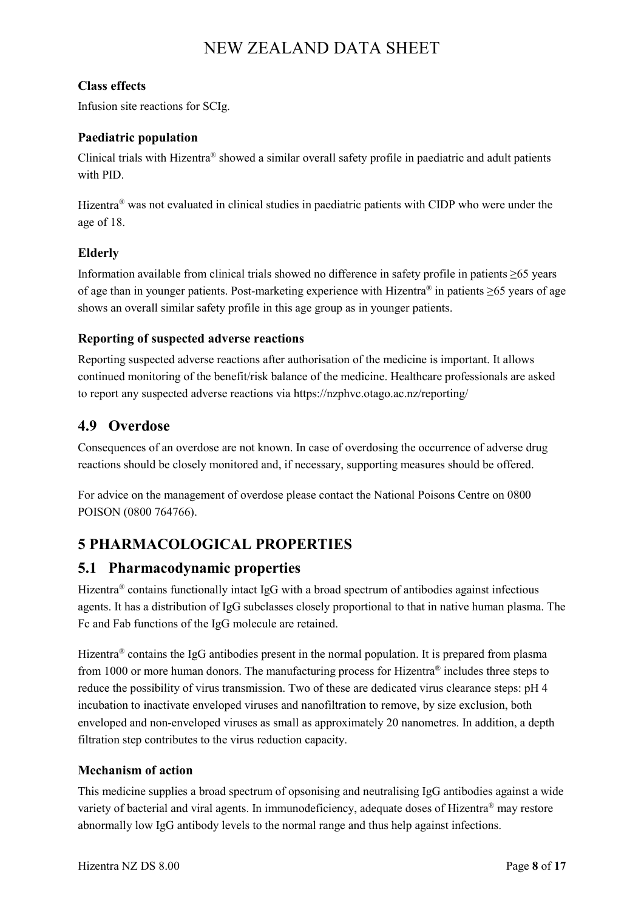### **Class effects**

Infusion site reactions for SCIg.

### **Paediatric population**

Clinical trials with Hizentra® showed a similar overall safety profile in paediatric and adult patients with PID.

Hizentra® was not evaluated in clinical studies in paediatric patients with CIDP who were under the age of 18.

### **Elderly**

Information available from clinical trials showed no difference in safety profile in patients ≥65 years of age than in younger patients. Post-marketing experience with Hizentra® in patients ≥65 years of age shows an overall similar safety profile in this age group as in younger patients.

#### **Reporting of suspected adverse reactions**

Reporting suspected adverse reactions after authorisation of the medicine is important. It allows continued monitoring of the benefit/risk balance of the medicine. Healthcare professionals are asked to report any suspected adverse reactions via https://nzphvc.otago.ac.nz/reporting/

### **4.9 Overdose**

Consequences of an overdose are not known. In case of overdosing the occurrence of adverse drug reactions should be closely monitored and, if necessary, supporting measures should be offered.

For advice on the management of overdose please contact the National Poisons Centre on 0800 POISON (0800 764766).

## **5 PHARMACOLOGICAL PROPERTIES**

### **5.1 Pharmacodynamic properties**

Hizentra® contains functionally intact IgG with a broad spectrum of antibodies against infectious agents. It has a distribution of IgG subclasses closely proportional to that in native human plasma. The Fc and Fab functions of the IgG molecule are retained.

Hizentra<sup>®</sup> contains the IgG antibodies present in the normal population. It is prepared from plasma from 1000 or more human donors. The manufacturing process for Hizentra<sup>®</sup> includes three steps to reduce the possibility of virus transmission. Two of these are dedicated virus clearance steps: pH 4 incubation to inactivate enveloped viruses and nanofiltration to remove, by size exclusion, both enveloped and non-enveloped viruses as small as approximately 20 nanometres. In addition, a depth filtration step contributes to the virus reduction capacity.

### **Mechanism of action**

This medicine supplies a broad spectrum of opsonising and neutralising IgG antibodies against a wide variety of bacterial and viral agents. In immunodeficiency, adequate doses of Hizentra® may restore abnormally low IgG antibody levels to the normal range and thus help against infections.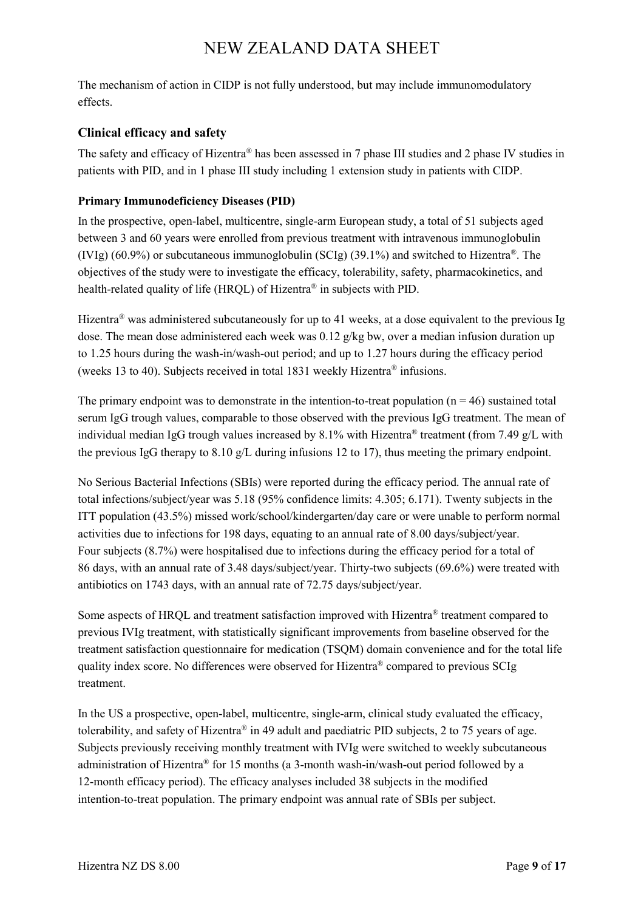The mechanism of action in CIDP is not fully understood, but may include immunomodulatory effects.

### **Clinical efficacy and safety**

The safety and efficacy of Hizentra® has been assessed in 7 phase III studies and 2 phase IV studies in patients with PID, and in 1 phase III study including 1 extension study in patients with CIDP.

### **Primary Immunodeficiency Diseases (PID)**

In the prospective, open-label, multicentre, single-arm European study, a total of 51 subjects aged between 3 and 60 years were enrolled from previous treatment with intravenous immunoglobulin (IVIg) (60.9%) or subcutaneous immunoglobulin (SCIg) (39.1%) and switched to Hizentra<sup>®</sup>. The objectives of the study were to investigate the efficacy, tolerability, safety, pharmacokinetics, and health-related quality of life (HRQL) of Hizentra® in subjects with PID.

Hizentra<sup>®</sup> was administered subcutaneously for up to 41 weeks, at a dose equivalent to the previous Ig dose. The mean dose administered each week was 0.12 g/kg bw, over a median infusion duration up to 1.25 hours during the wash-in/wash-out period; and up to 1.27 hours during the efficacy period (weeks 13 to 40). Subjects received in total 1831 weekly Hizentra® infusions.

The primary endpoint was to demonstrate in the intention-to-treat population ( $n = 46$ ) sustained total serum IgG trough values, comparable to those observed with the previous IgG treatment. The mean of individual median IgG trough values increased by 8.1% with Hizentra<sup>®</sup> treatment (from 7.49  $\alpha$ /L with the previous IgG therapy to 8.10 g/L during infusions 12 to 17), thus meeting the primary endpoint.

No Serious Bacterial Infections (SBIs) were reported during the efficacy period. The annual rate of total infections/subject/year was 5.18 (95% confidence limits: 4.305; 6.171). Twenty subjects in the ITT population (43.5%) missed work/school/kindergarten/day care or were unable to perform normal activities due to infections for 198 days, equating to an annual rate of 8.00 days/subject/year. Four subjects (8.7%) were hospitalised due to infections during the efficacy period for a total of 86 days, with an annual rate of 3.48 days/subject/year. Thirty-two subjects (69.6%) were treated with antibiotics on 1743 days, with an annual rate of 72.75 days/subject/year.

Some aspects of HRQL and treatment satisfaction improved with Hizentra® treatment compared to previous IVIg treatment, with statistically significant improvements from baseline observed for the treatment satisfaction questionnaire for medication (TSQM) domain convenience and for the total life quality index score. No differences were observed for Hizentra® compared to previous SCIg treatment.

In the US a prospective, open-label, multicentre, single-arm, clinical study evaluated the efficacy, tolerability, and safety of Hizentra® in 49 adult and paediatric PID subjects, 2 to 75 years of age. Subjects previously receiving monthly treatment with IVIg were switched to weekly subcutaneous administration of Hizentra® for 15 months (a 3-month wash-in/wash-out period followed by a 12-month efficacy period). The efficacy analyses included 38 subjects in the modified intention-to-treat population. The primary endpoint was annual rate of SBIs per subject.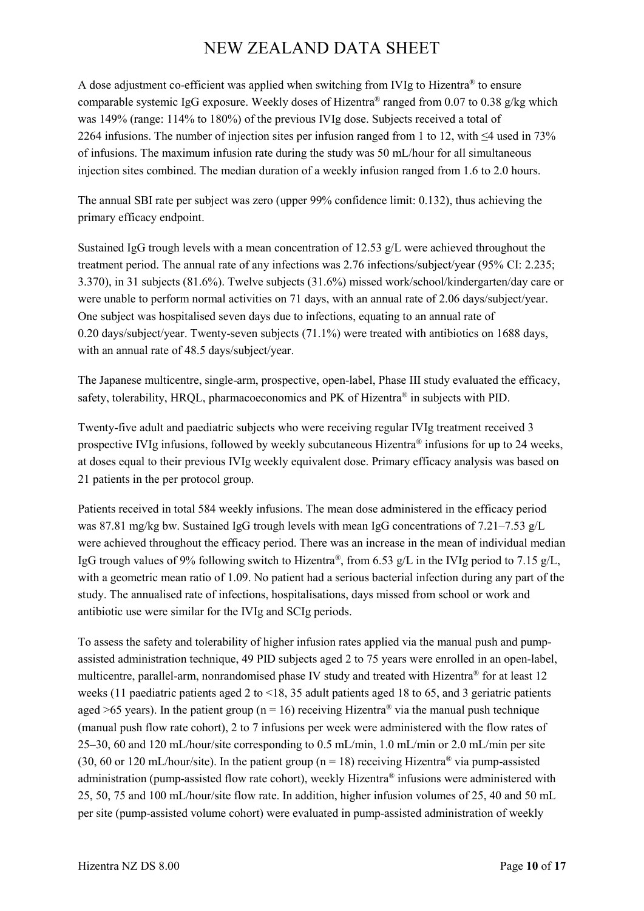A dose adjustment co-efficient was applied when switching from IVIg to Hizentra® to ensure comparable systemic IgG exposure. Weekly doses of Hizentra® ranged from 0.07 to 0.38 g/kg which was 149% (range: 114% to 180%) of the previous IVIg dose. Subjects received a total of 2264 infusions. The number of injection sites per infusion ranged from 1 to 12, with ≤4 used in 73% of infusions. The maximum infusion rate during the study was 50 mL/hour for all simultaneous injection sites combined. The median duration of a weekly infusion ranged from 1.6 to 2.0 hours.

The annual SBI rate per subject was zero (upper 99% confidence limit: 0.132), thus achieving the primary efficacy endpoint.

Sustained IgG trough levels with a mean concentration of 12.53 g/L were achieved throughout the treatment period. The annual rate of any infections was 2.76 infections/subject/year (95% CI: 2.235; 3.370), in 31 subjects (81.6%). Twelve subjects (31.6%) missed work/school/kindergarten/day care or were unable to perform normal activities on 71 days, with an annual rate of 2.06 days/subject/year. One subject was hospitalised seven days due to infections, equating to an annual rate of 0.20 days/subject/year. Twenty-seven subjects (71.1%) were treated with antibiotics on 1688 days, with an annual rate of 48.5 days/subject/year.

The Japanese multicentre, single-arm, prospective, open-label, Phase III study evaluated the efficacy, safety, tolerability, HRQL, pharmacoeconomics and PK of Hizentra® in subjects with PID.

Twenty-five adult and paediatric subjects who were receiving regular IVIg treatment received 3 prospective IVIg infusions, followed by weekly subcutaneous Hizentra® infusions for up to 24 weeks, at doses equal to their previous IVIg weekly equivalent dose. Primary efficacy analysis was based on 21 patients in the per protocol group.

Patients received in total 584 weekly infusions. The mean dose administered in the efficacy period was 87.81 mg/kg bw. Sustained IgG trough levels with mean IgG concentrations of 7.21–7.53 g/L were achieved throughout the efficacy period. There was an increase in the mean of individual median IgG trough values of 9% following switch to Hizentra®, from 6.53 g/L in the IVIg period to 7.15 g/L, with a geometric mean ratio of 1.09. No patient had a serious bacterial infection during any part of the study. The annualised rate of infections, hospitalisations, days missed from school or work and antibiotic use were similar for the IVIg and SCIg periods.

To assess the safety and tolerability of higher infusion rates applied via the manual push and pumpassisted administration technique, 49 PID subjects aged 2 to 75 years were enrolled in an open-label, multicentre, parallel-arm, nonrandomised phase IV study and treated with Hizentra® for at least 12 weeks (11 paediatric patients aged 2 to <18, 35 adult patients aged 18 to 65, and 3 geriatric patients aged >65 years). In the patient group ( $n = 16$ ) receiving Hizentra<sup>®</sup> via the manual push technique (manual push flow rate cohort), 2 to 7 infusions per week were administered with the flow rates of 25–30, 60 and 120 mL/hour/site corresponding to 0.5 mL/min, 1.0 mL/min or 2.0 mL/min per site (30, 60 or 120 mL/hour/site). In the patient group ( $n = 18$ ) receiving Hizentra<sup>®</sup> via pump-assisted administration (pump-assisted flow rate cohort), weekly Hizentra® infusions were administered with 25, 50, 75 and 100 mL/hour/site flow rate. In addition, higher infusion volumes of 25, 40 and 50 mL per site (pump-assisted volume cohort) were evaluated in pump-assisted administration of weekly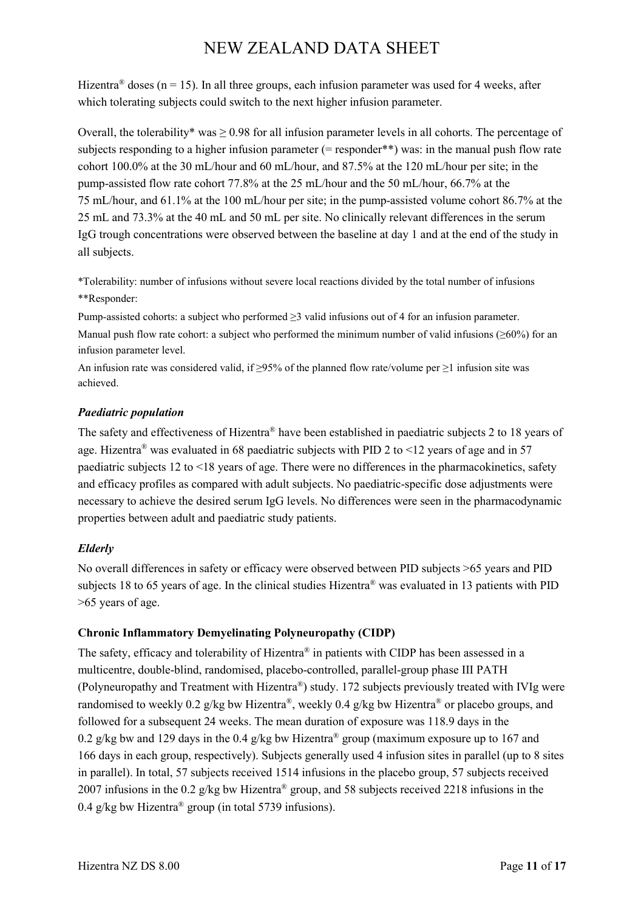Hizentra<sup>®</sup> doses (n = 15). In all three groups, each infusion parameter was used for 4 weeks, after which tolerating subjects could switch to the next higher infusion parameter.

Overall, the tolerability\* was  $\geq$  0.98 for all infusion parameter levels in all cohorts. The percentage of subjects responding to a higher infusion parameter (= responder\*\*) was: in the manual push flow rate cohort 100.0% at the 30 mL/hour and 60 mL/hour, and 87.5% at the 120 mL/hour per site; in the pump-assisted flow rate cohort 77.8% at the 25 mL/hour and the 50 mL/hour, 66.7% at the 75 mL/hour, and 61.1% at the 100 mL/hour per site; in the pump-assisted volume cohort 86.7% at the 25 mL and 73.3% at the 40 mL and 50 mL per site. No clinically relevant differences in the serum IgG trough concentrations were observed between the baseline at day 1 and at the end of the study in all subjects.

\*Tolerability: number of infusions without severe local reactions divided by the total number of infusions \*\*Responder:

Pump-assisted cohorts: a subject who performed ≥3 valid infusions out of 4 for an infusion parameter.

Manual push flow rate cohort: a subject who performed the minimum number of valid infusions ( $\geq 60\%$ ) for an infusion parameter level.

An infusion rate was considered valid, if ≥95% of the planned flow rate/volume per ≥1 infusion site was achieved.

#### *Paediatric population*

The safety and effectiveness of Hizentra® have been established in paediatric subjects 2 to 18 years of age. Hizentra<sup>®</sup> was evaluated in 68 paediatric subjects with PID 2 to  $\leq$  12 years of age and in 57 paediatric subjects 12 to <18 years of age. There were no differences in the pharmacokinetics, safety and efficacy profiles as compared with adult subjects. No paediatric-specific dose adjustments were necessary to achieve the desired serum IgG levels. No differences were seen in the pharmacodynamic properties between adult and paediatric study patients.

### *Elderly*

No overall differences in safety or efficacy were observed between PID subjects >65 years and PID subjects 18 to 65 years of age. In the clinical studies Hizentra® was evaluated in 13 patients with PID >65 years of age.

### **Chronic Inflammatory Demyelinating Polyneuropathy (CIDP)**

The safety, efficacy and tolerability of Hizentra® in patients with CIDP has been assessed in a multicentre, double-blind, randomised, placebo-controlled, parallel-group phase III PATH (Polyneuropathy and Treatment with Hizentra®) study. 172 subjects previously treated with IVIg were randomised to weekly 0.2 g/kg bw Hizentra®, weekly 0.4 g/kg bw Hizentra® or placebo groups, and followed for a subsequent 24 weeks. The mean duration of exposure was 118.9 days in the 0.2 g/kg bw and 129 days in the 0.4 g/kg bw Hizentra<sup>®</sup> group (maximum exposure up to 167 and 166 days in each group, respectively). Subjects generally used 4 infusion sites in parallel (up to 8 sites in parallel). In total, 57 subjects received 1514 infusions in the placebo group, 57 subjects received 2007 infusions in the 0.2 g/kg bw Hizentra® group, and 58 subjects received 2218 infusions in the 0.4 g/kg bw Hizentra<sup>®</sup> group (in total 5739 infusions).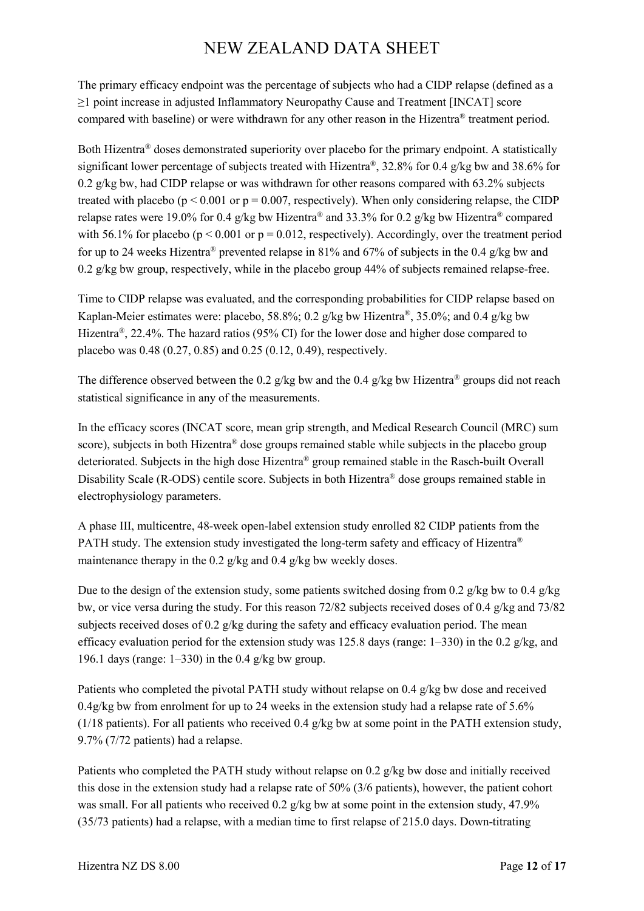The primary efficacy endpoint was the percentage of subjects who had a CIDP relapse (defined as a ≥1 point increase in adjusted Inflammatory Neuropathy Cause and Treatment [INCAT] score compared with baseline) or were withdrawn for any other reason in the Hizentra® treatment period.

Both Hizentra® doses demonstrated superiority over placebo for the primary endpoint. A statistically significant lower percentage of subjects treated with Hizentra®, 32.8% for 0.4 g/kg bw and 38.6% for 0.2 g/kg bw, had CIDP relapse or was withdrawn for other reasons compared with 63.2% subjects treated with placebo ( $p < 0.001$  or  $p = 0.007$ , respectively). When only considering relapse, the CIDP relapse rates were 19.0% for 0.4 g/kg bw Hizentra<sup>®</sup> and 33.3% for 0.2 g/kg bw Hizentra<sup>®</sup> compared with 56.1% for placebo ( $p \le 0.001$  or  $p = 0.012$ , respectively). Accordingly, over the treatment period for up to 24 weeks Hizentra<sup>®</sup> prevented relapse in 81% and 67% of subjects in the 0.4 g/kg bw and 0.2 g/kg bw group, respectively, while in the placebo group 44% of subjects remained relapse-free.

Time to CIDP relapse was evaluated, and the corresponding probabilities for CIDP relapse based on Kaplan-Meier estimates were: placebo, 58.8%; 0.2 g/kg bw Hizentra®, 35.0%; and 0.4 g/kg bw Hizentra<sup>®</sup>, 22.4%. The hazard ratios (95% CI) for the lower dose and higher dose compared to placebo was 0.48 (0.27, 0.85) and 0.25 (0.12, 0.49), respectively.

The difference observed between the 0.2 g/kg bw and the 0.4 g/kg bw Hizentra<sup>®</sup> groups did not reach statistical significance in any of the measurements.

In the efficacy scores (INCAT score, mean grip strength, and Medical Research Council (MRC) sum score), subjects in both Hizentra<sup>®</sup> dose groups remained stable while subjects in the placebo group deteriorated. Subjects in the high dose Hizentra® group remained stable in the Rasch-built Overall Disability Scale (R-ODS) centile score. Subjects in both Hizentra® dose groups remained stable in electrophysiology parameters.

A phase III, multicentre, 48-week open-label extension study enrolled 82 CIDP patients from the PATH study. The extension study investigated the long-term safety and efficacy of Hizentra<sup>®</sup> maintenance therapy in the 0.2 g/kg and 0.4 g/kg bw weekly doses.

Due to the design of the extension study, some patients switched dosing from 0.2 g/kg bw to 0.4 g/kg bw, or vice versa during the study. For this reason 72/82 subjects received doses of 0.4 g/kg and 73/82 subjects received doses of 0.2 g/kg during the safety and efficacy evaluation period. The mean efficacy evaluation period for the extension study was 125.8 days (range: 1–330) in the 0.2 g/kg, and 196.1 days (range:  $1-330$ ) in the 0.4 g/kg bw group.

Patients who completed the pivotal PATH study without relapse on 0.4 g/kg bw dose and received  $0.4$ g/kg bw from enrolment for up to 24 weeks in the extension study had a relapse rate of 5.6%  $(1/18$  patients). For all patients who received 0.4 g/kg bw at some point in the PATH extension study, 9.7% (7/72 patients) had a relapse.

Patients who completed the PATH study without relapse on 0.2 g/kg bw dose and initially received this dose in the extension study had a relapse rate of 50% (3/6 patients), however, the patient cohort was small. For all patients who received 0.2 g/kg bw at some point in the extension study, 47.9% (35/73 patients) had a relapse, with a median time to first relapse of 215.0 days. Down-titrating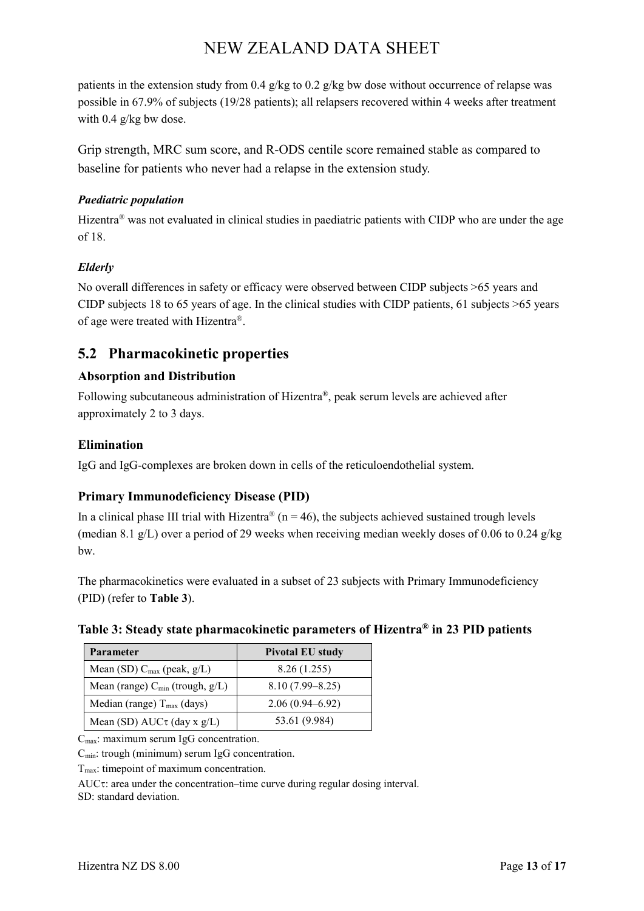patients in the extension study from 0.4  $g/kg$  to 0.2  $g/kg$  bw dose without occurrence of relapse was possible in 67.9% of subjects (19/28 patients); all relapsers recovered within 4 weeks after treatment with 0.4 g/kg bw dose.

Grip strength, MRC sum score, and R-ODS centile score remained stable as compared to baseline for patients who never had a relapse in the extension study.

#### *Paediatric population*

Hizentra<sup>®</sup> was not evaluated in clinical studies in paediatric patients with CIDP who are under the age of 18.

### *Elderly*

No overall differences in safety or efficacy were observed between CIDP subjects >65 years and CIDP subjects 18 to 65 years of age. In the clinical studies with CIDP patients, 61 subjects >65 years of age were treated with Hizentra®.

## **5.2 Pharmacokinetic properties**

### **Absorption and Distribution**

Following subcutaneous administration of Hizentra®, peak serum levels are achieved after approximately 2 to 3 days.

### **Elimination**

IgG and IgG-complexes are broken down in cells of the reticuloendothelial system.

### **Primary Immunodeficiency Disease (PID)**

In a clinical phase III trial with Hizentra<sup>®</sup> (n = 46), the subjects achieved sustained trough levels (median 8.1 g/L) over a period of 29 weeks when receiving median weekly doses of 0.06 to 0.24 g/kg bw.

The pharmacokinetics were evaluated in a subset of 23 subjects with Primary Immunodeficiency (PID) (refer to **Table 3**).

#### **Table 3: Steady state pharmacokinetic parameters of Hizentra® in 23 PID patients**

| Parameter                                      | <b>Pivotal EU study</b> |  |
|------------------------------------------------|-------------------------|--|
| Mean (SD) $C_{\text{max}}$ (peak, $g/L$ )      | 8.26(1.255)             |  |
| Mean (range) $C_{\text{min}}$ (trough, $g/L$ ) | $8.10(7.99 - 8.25)$     |  |
| Median (range) $T_{\text{max}}$ (days)         | $2.06(0.94 - 6.92)$     |  |
| Mean (SD) $AUC\tau$ (day x g/L)                | 53.61 (9.984)           |  |

 $C_{\text{max}}$ : maximum serum IgG concentration.

C<sub>min</sub>: trough (minimum) serum IgG concentration.

 $T<sub>max</sub>$ : timepoint of maximum concentration.

AUCτ: area under the concentration–time curve during regular dosing interval.

SD: standard deviation.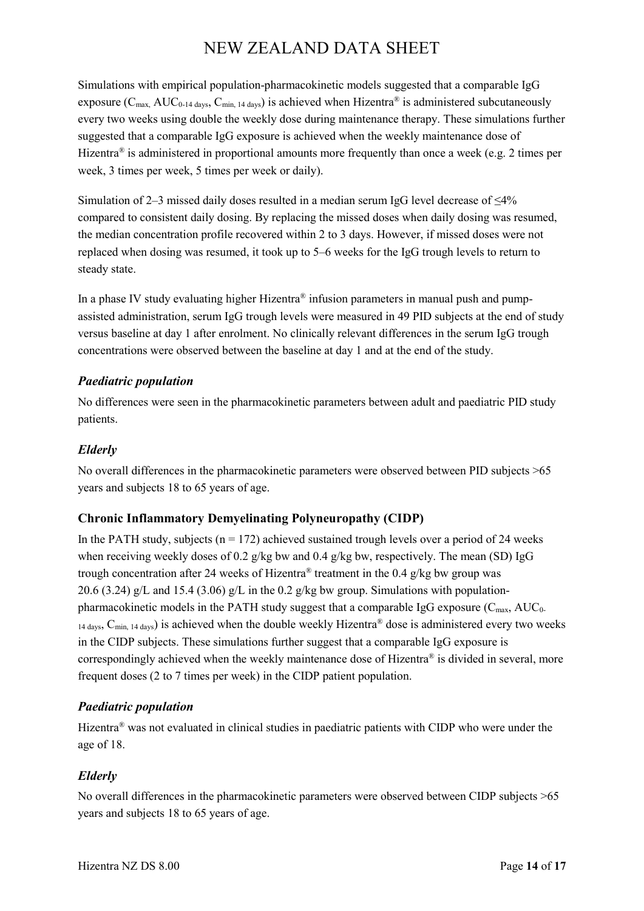Simulations with empirical population-pharmacokinetic models suggested that a comparable IgG exposure ( $C_{\text{max}}$ , AUC<sub>0-14 days</sub>,  $C_{\text{min}}$ , 14 days) is achieved when Hizentra<sup>®</sup> is administered subcutaneously every two weeks using double the weekly dose during maintenance therapy. These simulations further suggested that a comparable IgG exposure is achieved when the weekly maintenance dose of Hizentra<sup>®</sup> is administered in proportional amounts more frequently than once a week (e.g. 2 times per week, 3 times per week, 5 times per week or daily).

Simulation of 2–3 missed daily doses resulted in a median serum IgG level decrease of ≤4% compared to consistent daily dosing. By replacing the missed doses when daily dosing was resumed, the median concentration profile recovered within 2 to 3 days. However, if missed doses were not replaced when dosing was resumed, it took up to 5–6 weeks for the IgG trough levels to return to steady state.

In a phase IV study evaluating higher Hizentra® infusion parameters in manual push and pumpassisted administration, serum IgG trough levels were measured in 49 PID subjects at the end of study versus baseline at day 1 after enrolment. No clinically relevant differences in the serum IgG trough concentrations were observed between the baseline at day 1 and at the end of the study.

### *Paediatric population*

No differences were seen in the pharmacokinetic parameters between adult and paediatric PID study patients.

### *Elderly*

No overall differences in the pharmacokinetic parameters were observed between PID subjects >65 years and subjects 18 to 65 years of age.

### **Chronic Inflammatory Demyelinating Polyneuropathy (CIDP)**

In the PATH study, subjects ( $n = 172$ ) achieved sustained trough levels over a period of 24 weeks when receiving weekly doses of 0.2 g/kg bw and 0.4 g/kg bw, respectively. The mean (SD) IgG trough concentration after 24 weeks of Hizentra® treatment in the 0.4 g/kg bw group was 20.6 (3.24) g/L and 15.4 (3.06) g/L in the 0.2 g/kg bw group. Simulations with populationpharmacokinetic models in the PATH study suggest that a comparable IgG exposure  $(C_{\text{max}}, AUC_0)$  $14$  days,  $C_{\text{min. 14 days}}$ ) is achieved when the double weekly Hizentra<sup>®</sup> dose is administered every two weeks in the CIDP subjects. These simulations further suggest that a comparable IgG exposure is correspondingly achieved when the weekly maintenance dose of Hizentra<sup>®</sup> is divided in several, more frequent doses (2 to 7 times per week) in the CIDP patient population.

### *Paediatric population*

Hizentra® was not evaluated in clinical studies in paediatric patients with CIDP who were under the age of 18.

### *Elderly*

No overall differences in the pharmacokinetic parameters were observed between CIDP subjects >65 years and subjects 18 to 65 years of age.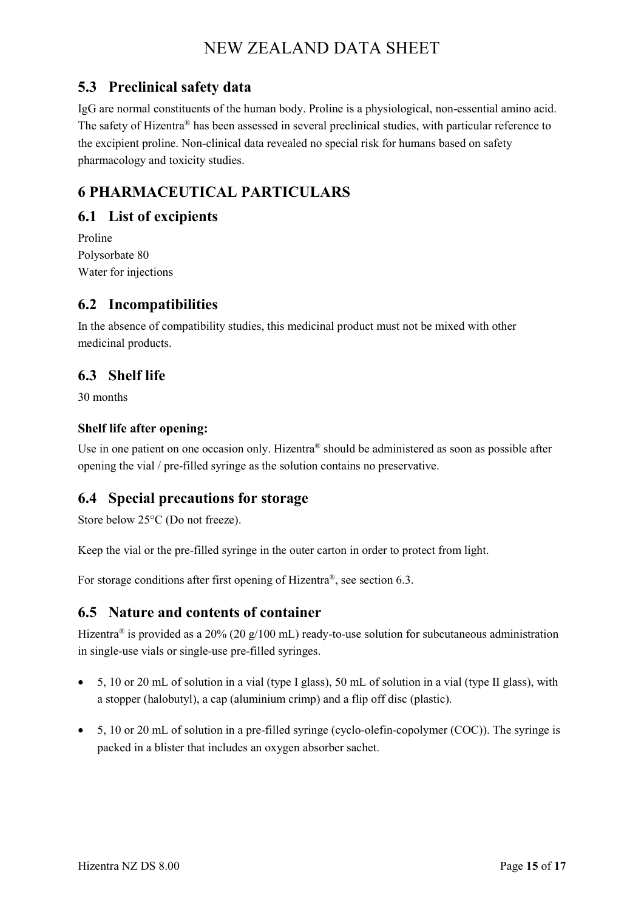## **5.3 Preclinical safety data**

IgG are normal constituents of the human body. Proline is a physiological, non-essential amino acid. The safety of Hizentra® has been assessed in several preclinical studies, with particular reference to the excipient proline. Non-clinical data revealed no special risk for humans based on safety pharmacology and toxicity studies.

## **6 PHARMACEUTICAL PARTICULARS**

## **6.1 List of excipients**

Proline Polysorbate 80 Water for injections

## **6.2 Incompatibilities**

In the absence of compatibility studies, this medicinal product must not be mixed with other medicinal products.

## **6.3 Shelf life**

30 months

### **Shelf life after opening:**

Use in one patient on one occasion only. Hizentra® should be administered as soon as possible after opening the vial / pre-filled syringe as the solution contains no preservative.

## **6.4 Special precautions for storage**

Store below 25°C (Do not freeze).

Keep the vial or the pre-filled syringe in the outer carton in order to protect from light.

For storage conditions after first opening of Hizentra®, see section 6.3.

## **6.5 Nature and contents of container**

Hizentra<sup>®</sup> is provided as a 20% (20 g/100 mL) ready-to-use solution for subcutaneous administration in single-use vials or single-use pre-filled syringes.

- 5, 10 or 20 mL of solution in a vial (type I glass), 50 mL of solution in a vial (type II glass), with a stopper (halobutyl), a cap (aluminium crimp) and a flip off disc (plastic).
- 5, 10 or 20 mL of solution in a pre-filled syringe (cyclo-olefin-copolymer (COC)). The syringe is packed in a blister that includes an oxygen absorber sachet.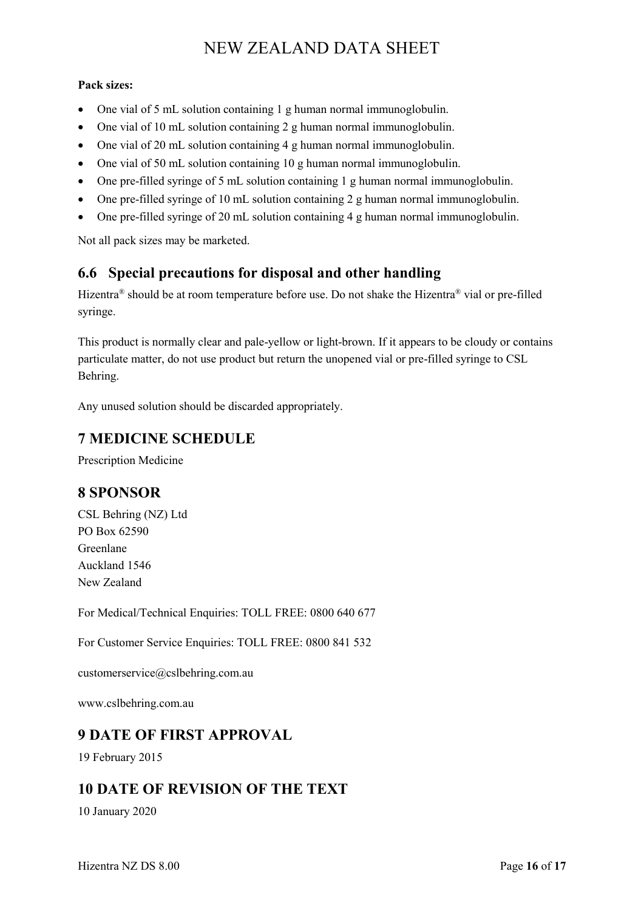#### **Pack sizes:**

- One vial of 5 mL solution containing 1 g human normal immunoglobulin.
- One vial of 10 mL solution containing 2 g human normal immunoglobulin.
- One vial of 20 mL solution containing 4 g human normal immunoglobulin.
- One vial of 50 mL solution containing 10 g human normal immunoglobulin.
- One pre-filled syringe of 5 mL solution containing 1 g human normal immunoglobulin.
- One pre-filled syringe of 10 mL solution containing 2 g human normal immunoglobulin.
- One pre-filled syringe of 20 mL solution containing 4 g human normal immunoglobulin.

Not all pack sizes may be marketed.

## **6.6 Special precautions for disposal and other handling**

Hizentra® should be at room temperature before use. Do not shake the Hizentra® vial or pre-filled syringe.

This product is normally clear and pale-yellow or light-brown. If it appears to be cloudy or contains particulate matter, do not use product but return the unopened vial or pre-filled syringe to CSL Behring.

Any unused solution should be discarded appropriately.

## **7 MEDICINE SCHEDULE**

Prescription Medicine

## **8 SPONSOR**

CSL Behring (NZ) Ltd PO Box 62590 Greenlane Auckland 1546 New Zealand

For Medical/Technical Enquiries: TOLL FREE: 0800 640 677

For Customer Service Enquiries: TOLL FREE: 0800 841 532

customerservice@cslbehring.com.au

www.cslbehring.com.au

## **9 DATE OF FIRST APPROVAL**

19 February 2015

## **10 DATE OF REVISION OF THE TEXT**

10 January 2020